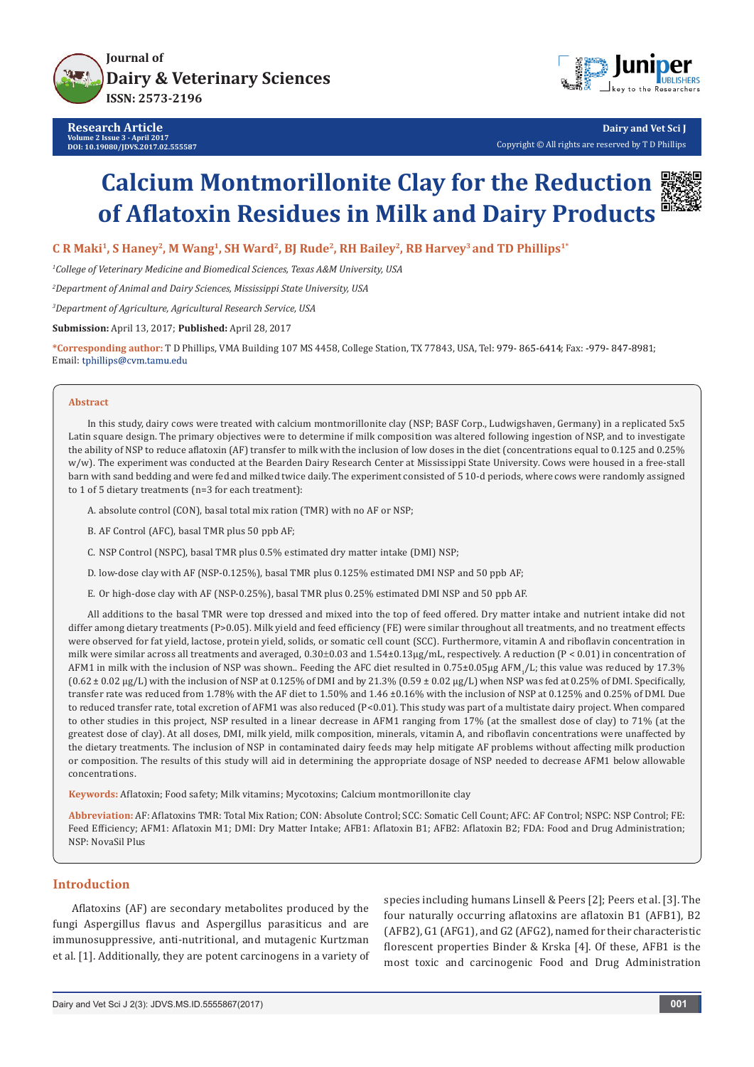



**Dairy and Vet Sci J** Copyright © All rights are reserved by T D Phillips

# **Calcium Montmorillonite Clay for the Reduction of Aflatoxin Residues in Milk and Dairy Products**



**C R Maki1, S Haney2, M Wang1, SH Ward2, BJ Rude2, RH Bailey2, RB Harvey3 and TD Phillips1\***

*1 College of Veterinary Medicine and Biomedical Sciences, Texas A&M University, USA*

*2 Department of Animal and Dairy Sciences, Mississippi State University, USA*

*3 Department of Agriculture, Agricultural Research Service, USA*

**Submission:** April 13, 2017; **Published:** April 28, 2017

\*Corresponding author: T D Phillips, VMA Building 107 MS 4458, College Station, TX 77843, USA, Tel: 979-865-6414; Fax: -979-847-8981; Email: tphillips@cvm.tamu.edu

#### **Abstract**

In this study, dairy cows were treated with calcium montmorillonite clay (NSP; BASF Corp., Ludwigshaven, Germany) in a replicated 5x5 Latin square design. The primary objectives were to determine if milk composition was altered following ingestion of NSP, and to investigate the ability of NSP to reduce aflatoxin (AF) transfer to milk with the inclusion of low doses in the diet (concentrations equal to 0.125 and 0.25% w/w). The experiment was conducted at the Bearden Dairy Research Center at Mississippi State University. Cows were housed in a free-stall barn with sand bedding and were fed and milked twice daily. The experiment consisted of 5 10-d periods, where cows were randomly assigned to 1 of 5 dietary treatments (n=3 for each treatment):

A. absolute control (CON), basal total mix ration (TMR) with no AF or NSP;

- B. AF Control (AFC), basal TMR plus 50 ppb AF;
- C. NSP Control (NSPC), basal TMR plus 0.5% estimated dry matter intake (DMI) NSP;
- D. low-dose clay with AF (NSP-0.125%), basal TMR plus 0.125% estimated DMI NSP and 50 ppb AF;
- E. Or high-dose clay with AF (NSP-0.25%), basal TMR plus 0.25% estimated DMI NSP and 50 ppb AF.

All additions to the basal TMR were top dressed and mixed into the top of feed offered. Dry matter intake and nutrient intake did not differ among dietary treatments (P>0.05). Milk yield and feed efficiency (FE) were similar throughout all treatments, and no treatment effects were observed for fat yield, lactose, protein yield, solids, or somatic cell count (SCC). Furthermore, vitamin A and riboflavin concentration in milk were similar across all treatments and averaged, 0.30±0.03 and 1.54±0.13µg/mL, respectively. A reduction (P < 0.01) in concentration of AFM1 in milk with the inclusion of NSP was shown.. Feeding the AFC diet resulted in 0.75±0.05µg AFM $_{\rm 1}$ /L; this value was reduced by 17.3%  $(0.62 \pm 0.02 \,\mu g/L)$  with the inclusion of NSP at 0.125% of DMI and by 21.3%  $(0.59 \pm 0.02 \,\mu g/L)$  when NSP was fed at 0.25% of DMI. Specifically, transfer rate was reduced from 1.78% with the AF diet to 1.50% and 1.46 ±0.16% with the inclusion of NSP at 0.125% and 0.25% of DMI. Due to reduced transfer rate, total excretion of AFM1 was also reduced (P<0.01). This study was part of a multistate dairy project. When compared to other studies in this project, NSP resulted in a linear decrease in AFM1 ranging from 17% (at the smallest dose of clay) to 71% (at the greatest dose of clay). At all doses, DMI, milk yield, milk composition, minerals, vitamin A, and riboflavin concentrations were unaffected by the dietary treatments. The inclusion of NSP in contaminated dairy feeds may help mitigate AF problems without affecting milk production or composition. The results of this study will aid in determining the appropriate dosage of NSP needed to decrease AFM1 below allowable concentrations.

**Keywords:** Aflatoxin; Food safety; Milk vitamins; Mycotoxins; Calcium montmorillonite clay

**Abbreviation:** AF: Aflatoxins TMR: Total Mix Ration; CON: Absolute Control; SCC: Somatic Cell Count; AFC: AF Control; NSPC: NSP Control; FE: Feed Efficiency; AFM1: Aflatoxin M1; DMI: Dry Matter Intake; AFB1: Aflatoxin B1; AFB2: Aflatoxin B2; FDA: Food and Drug Administration; NSP: NovaSil Plus

#### **Introduction**

Aflatoxins (AF) are secondary metabolites produced by the fungi Aspergillus flavus and Aspergillus parasiticus and are immunosuppressive, anti-nutritional, and mutagenic Kurtzman et al. [1]. Additionally, they are potent carcinogens in a variety of species including humans Linsell & Peers [2]; Peers et al. [3]. The four naturally occurring aflatoxins are aflatoxin B1 (AFB1), B2 (AFB2), G1 (AFG1), and G2 (AFG2), named for their characteristic florescent properties Binder & Krska [4]. Of these, AFB1 is the most toxic and carcinogenic Food and Drug Administration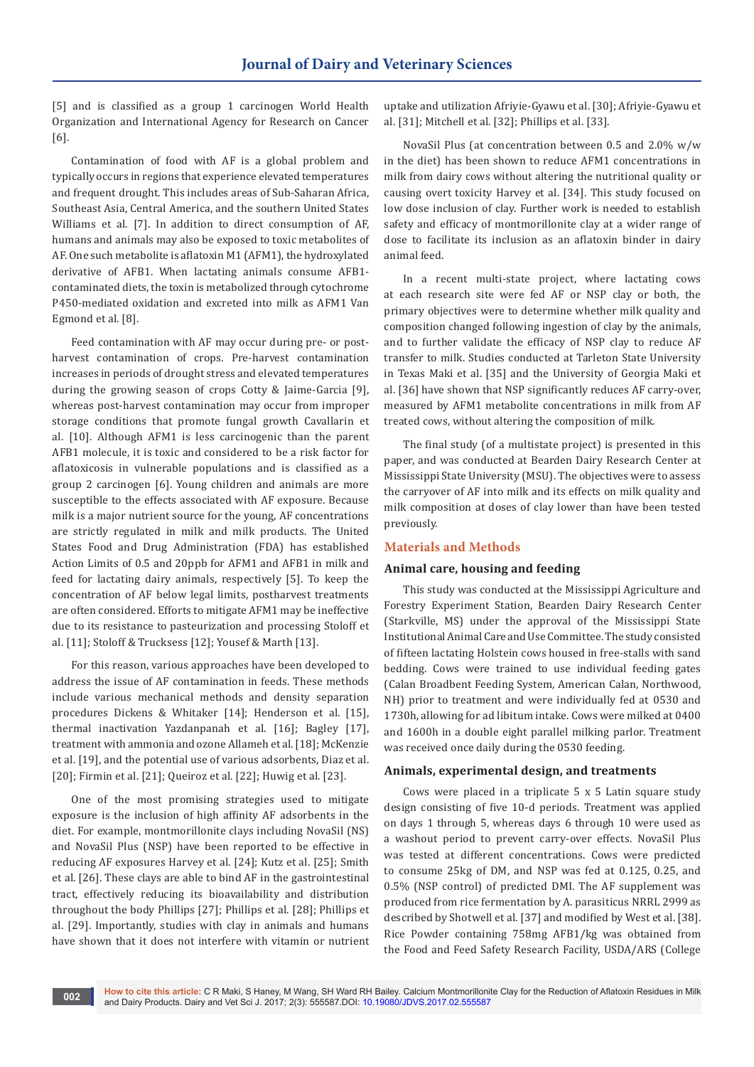[5] and is classified as a group 1 carcinogen World Health Organization and International Agency for Research on Cancer [6].

Contamination of food with AF is a global problem and typically occurs in regions that experience elevated temperatures and frequent drought. This includes areas of Sub-Saharan Africa, Southeast Asia, Central America, and the southern United States Williams et al. [7]. In addition to direct consumption of AF, humans and animals may also be exposed to toxic metabolites of AF. One such metabolite is aflatoxin M1 (AFM1), the hydroxylated derivative of AFB1. When lactating animals consume AFB1 contaminated diets, the toxin is metabolized through cytochrome P450-mediated oxidation and excreted into milk as AFM1 Van Egmond et al. [8].

Feed contamination with AF may occur during pre- or postharvest contamination of crops. Pre-harvest contamination increases in periods of drought stress and elevated temperatures during the growing season of crops Cotty & Jaime-Garcia [9], whereas post-harvest contamination may occur from improper storage conditions that promote fungal growth Cavallarin et al. [10]. Although AFM1 is less carcinogenic than the parent AFB1 molecule, it is toxic and considered to be a risk factor for aflatoxicosis in vulnerable populations and is classified as a group 2 carcinogen [6]. Young children and animals are more susceptible to the effects associated with AF exposure. Because milk is a major nutrient source for the young, AF concentrations are strictly regulated in milk and milk products. The United States Food and Drug Administration (FDA) has established Action Limits of 0.5 and 20ppb for AFM1 and AFB1 in milk and feed for lactating dairy animals, respectively [5]. To keep the concentration of AF below legal limits, postharvest treatments are often considered. Efforts to mitigate AFM1 may be ineffective due to its resistance to pasteurization and processing Stoloff et al. [11]; Stoloff & Trucksess [12]; Yousef & Marth [13].

For this reason, various approaches have been developed to address the issue of AF contamination in feeds. These methods include various mechanical methods and density separation procedures Dickens & Whitaker [14]; Henderson et al. [15], thermal inactivation Yazdanpanah et al. [16]; Bagley [17], treatment with ammonia and ozone Allameh et al. [18]; McKenzie et al. [19], and the potential use of various adsorbents, Diaz et al. [20]; Firmin et al. [21]; Queiroz et al. [22]; Huwig et al. [23].

One of the most promising strategies used to mitigate exposure is the inclusion of high affinity AF adsorbents in the diet. For example, montmorillonite clays including NovaSil (NS) and NovaSil Plus (NSP) have been reported to be effective in reducing AF exposures Harvey et al. [24]; Kutz et al. [25]; Smith et al. [26]. These clays are able to bind AF in the gastrointestinal tract, effectively reducing its bioavailability and distribution throughout the body Phillips [27]; Phillips et al. [28]; Phillips et al. [29]. Importantly, studies with clay in animals and humans have shown that it does not interfere with vitamin or nutrient uptake and utilization Afriyie-Gyawu et al. [30]; Afriyie-Gyawu et al. [31]; Mitchell et al. [32]; Phillips et al. [33].

NovaSil Plus (at concentration between 0.5 and 2.0% w/w in the diet) has been shown to reduce AFM1 concentrations in milk from dairy cows without altering the nutritional quality or causing overt toxicity Harvey et al. [34]. This study focused on low dose inclusion of clay. Further work is needed to establish safety and efficacy of montmorillonite clay at a wider range of dose to facilitate its inclusion as an aflatoxin binder in dairy animal feed.

In a recent multi-state project, where lactating cows at each research site were fed AF or NSP clay or both, the primary objectives were to determine whether milk quality and composition changed following ingestion of clay by the animals, and to further validate the efficacy of NSP clay to reduce AF transfer to milk. Studies conducted at Tarleton State University in Texas Maki et al. [35] and the University of Georgia Maki et al. [36] have shown that NSP significantly reduces AF carry-over, measured by AFM1 metabolite concentrations in milk from AF treated cows, without altering the composition of milk.

The final study (of a multistate project) is presented in this paper, and was conducted at Bearden Dairy Research Center at Mississippi State University (MSU). The objectives were to assess the carryover of AF into milk and its effects on milk quality and milk composition at doses of clay lower than have been tested previously.

### **Materials and Methods**

#### **Animal care, housing and feeding**

This study was conducted at the Mississippi Agriculture and Forestry Experiment Station, Bearden Dairy Research Center (Starkville, MS) under the approval of the Mississippi State Institutional Animal Care and Use Committee. The study consisted of fifteen lactating Holstein cows housed in free-stalls with sand bedding. Cows were trained to use individual feeding gates (Calan Broadbent Feeding System, American Calan, Northwood, NH) prior to treatment and were individually fed at 0530 and 1730h, allowing for ad libitum intake. Cows were milked at 0400 and 1600h in a double eight parallel milking parlor. Treatment was received once daily during the 0530 feeding.

#### **Animals, experimental design, and treatments**

Cows were placed in a triplicate 5 x 5 Latin square study design consisting of five 10-d periods. Treatment was applied on days 1 through 5, whereas days 6 through 10 were used as a washout period to prevent carry-over effects. NovaSil Plus was tested at different concentrations. Cows were predicted to consume 25kg of DM, and NSP was fed at 0.125, 0.25, and 0.5% (NSP control) of predicted DMI. The AF supplement was produced from rice fermentation by A. parasiticus NRRL 2999 as described by Shotwell et al. [37] and modified by West et al. [38]. Rice Powder containing 758mg AFB1/kg was obtained from the Food and Feed Safety Research Facility, USDA/ARS (College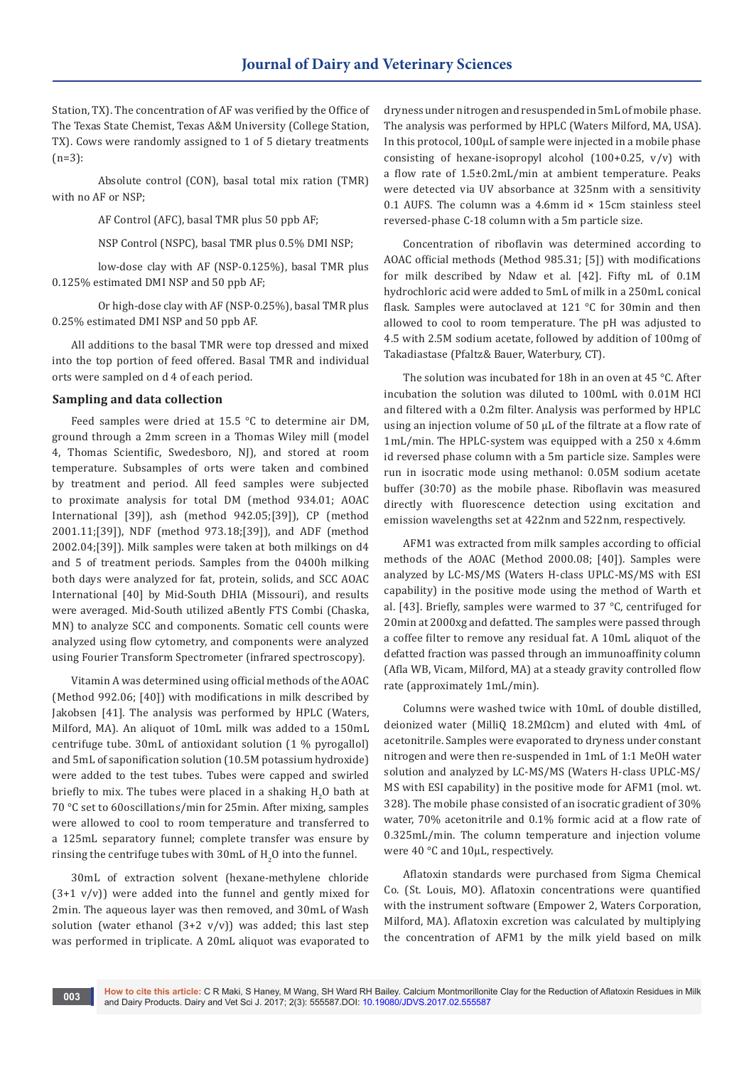Station, TX). The concentration of AF was verified by the Office of The Texas State Chemist, Texas A&M University (College Station, TX). Cows were randomly assigned to 1 of 5 dietary treatments (n=3):

Absolute control (CON), basal total mix ration (TMR) with no AF or NSP;

AF Control (AFC), basal TMR plus 50 ppb AF;

NSP Control (NSPC), basal TMR plus 0.5% DMI NSP;

low-dose clay with AF (NSP-0.125%), basal TMR plus 0.125% estimated DMI NSP and 50 ppb AF;

Or high-dose clay with AF (NSP-0.25%), basal TMR plus 0.25% estimated DMI NSP and 50 ppb AF.

All additions to the basal TMR were top dressed and mixed into the top portion of feed offered. Basal TMR and individual orts were sampled on d 4 of each period.

#### **Sampling and data collection**

Feed samples were dried at 15.5 °C to determine air DM, ground through a 2mm screen in a Thomas Wiley mill (model 4, Thomas Scientific, Swedesboro, NJ), and stored at room temperature. Subsamples of orts were taken and combined by treatment and period. All feed samples were subjected to proximate analysis for total DM (method 934.01; AOAC International [39]), ash (method 942.05;[39]), CP (method 2001.11;[39]), NDF (method 973.18;[39]), and ADF (method 2002.04;[39]). Milk samples were taken at both milkings on d4 and 5 of treatment periods. Samples from the 0400h milking both days were analyzed for fat, protein, solids, and SCC AOAC International [40] by Mid-South DHIA (Missouri), and results were averaged. Mid-South utilized aBently FTS Combi (Chaska, MN) to analyze SCC and components. Somatic cell counts were analyzed using flow cytometry, and components were analyzed using Fourier Transform Spectrometer (infrared spectroscopy).

Vitamin A was determined using official methods of the AOAC (Method 992.06; [40]) with modifications in milk described by Jakobsen [41]. The analysis was performed by HPLC (Waters, Milford, MA). An aliquot of 10mL milk was added to a 150mL centrifuge tube. 30mL of antioxidant solution (1 % pyrogallol) and 5mL of saponification solution (10.5M potassium hydroxide) were added to the test tubes. Tubes were capped and swirled briefly to mix. The tubes were placed in a shaking  $H_2O$  bath at 70 °C set to 60oscillations/min for 25min. After mixing, samples were allowed to cool to room temperature and transferred to a 125mL separatory funnel; complete transfer was ensure by rinsing the centrifuge tubes with  $30 \text{mL}$  of  $\text{H}_2\text{O}$  into the funnel.

30mL of extraction solvent (hexane-methylene chloride  $(3+1 \text{ v/v})$  were added into the funnel and gently mixed for 2min. The aqueous layer was then removed, and 30mL of Wash solution (water ethanol  $(3+2 \text{ v/v})$ ) was added; this last step was performed in triplicate. A 20mL aliquot was evaporated to

dryness under nitrogen and resuspended in 5mL of mobile phase. The analysis was performed by HPLC (Waters Milford, MA, USA). In this protocol, 100µL of sample were injected in a mobile phase consisting of hexane-isopropyl alcohol (100+0.25,  $v/v$ ) with a flow rate of 1.5±0.2mL/min at ambient temperature. Peaks were detected via UV absorbance at 325nm with a sensitivity 0.1 AUFS. The column was a 4.6mm id  $\times$  15cm stainless steel reversed-phase C-18 column with a 5m particle size.

Concentration of riboflavin was determined according to AOAC official methods (Method 985.31; [5]) with modifications for milk described by Ndaw et al. [42]. Fifty mL of 0.1M hydrochloric acid were added to 5mL of milk in a 250mL conical flask. Samples were autoclaved at 121 °C for 30min and then allowed to cool to room temperature. The pH was adjusted to 4.5 with 2.5M sodium acetate, followed by addition of 100mg of Takadiastase (Pfaltz& Bauer, Waterbury, CT).

The solution was incubated for 18h in an oven at 45 °C. After incubation the solution was diluted to 100mL with 0.01M HCl and filtered with a 0.2m filter. Analysis was performed by HPLC using an injection volume of 50 μL of the filtrate at a flow rate of 1mL/min. The HPLC-system was equipped with a 250 x 4.6mm id reversed phase column with a 5m particle size. Samples were run in isocratic mode using methanol: 0.05M sodium acetate buffer (30:70) as the mobile phase. Riboflavin was measured directly with fluorescence detection using excitation and emission wavelengths set at 422nm and 522nm, respectively.

AFM1 was extracted from milk samples according to official methods of the AOAC (Method 2000.08; [40]). Samples were analyzed by LC-MS/MS (Waters H-class UPLC-MS/MS with ESI capability) in the positive mode using the method of Warth et al. [43]. Briefly, samples were warmed to 37 °C, centrifuged for 20min at 2000xg and defatted. The samples were passed through a coffee filter to remove any residual fat. A 10mL aliquot of the defatted fraction was passed through an immunoaffinity column (Afla WB, Vicam, Milford, MA) at a steady gravity controlled flow rate (approximately 1mL/min).

Columns were washed twice with 10mL of double distilled, deionized water (MilliQ 18.2MΩcm) and eluted with 4mL of acetonitrile. Samples were evaporated to dryness under constant nitrogen and were then re-suspended in 1mL of 1:1 MeOH water solution and analyzed by LC-MS/MS (Waters H-class UPLC-MS/ MS with ESI capability) in the positive mode for AFM1 (mol. wt. 328). The mobile phase consisted of an isocratic gradient of 30% water, 70% acetonitrile and 0.1% formic acid at a flow rate of 0.325mL/min. The column temperature and injection volume were 40 °C and 10μL, respectively.

Aflatoxin standards were purchased from Sigma Chemical Co. (St. Louis, MO). Aflatoxin concentrations were quantified with the instrument software (Empower 2, Waters Corporation, Milford, MA). Aflatoxin excretion was calculated by multiplying the concentration of AFM1 by the milk yield based on milk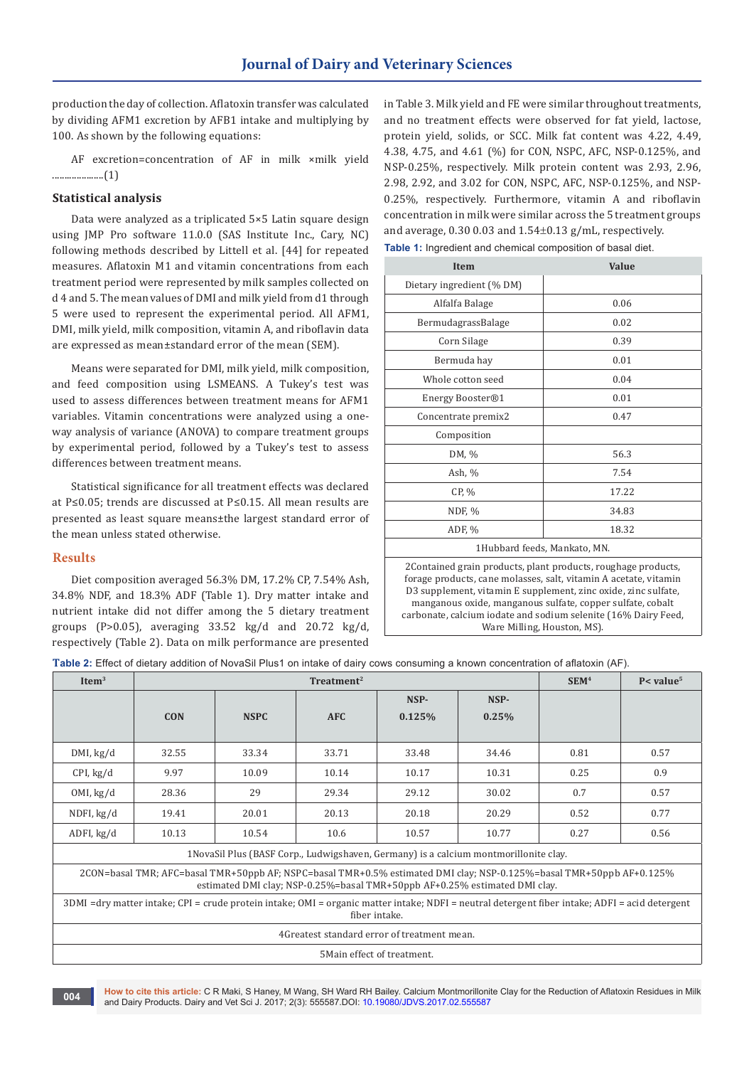production the day of collection. Aflatoxin transfer was calculated by dividing AFM1 excretion by AFB1 intake and multiplying by 100. As shown by the following equations:

AF excretion=concentration of AF in milk ×milk yield .....................(1)

#### **Statistical analysis**

Data were analyzed as a triplicated 5×5 Latin square design using JMP Pro software 11.0.0 (SAS Institute Inc., Cary, NC) following methods described by Littell et al. [44] for repeated measures. Aflatoxin M1 and vitamin concentrations from each treatment period were represented by milk samples collected on d 4 and 5. The mean values of DMI and milk yield from d1 through 5 were used to represent the experimental period. All AFM1, DMI, milk yield, milk composition, vitamin A, and riboflavin data are expressed as mean±standard error of the mean (SEM).

Means were separated for DMI, milk yield, milk composition, and feed composition using LSMEANS. A Tukey's test was used to assess differences between treatment means for AFM1 variables. Vitamin concentrations were analyzed using a oneway analysis of variance (ANOVA) to compare treatment groups by experimental period, followed by a Tukey's test to assess differences between treatment means.

Statistical significance for all treatment effects was declared at P≤0.05; trends are discussed at P≤0.15. All mean results are presented as least square means±the largest standard error of the mean unless stated otherwise.

#### **Results**

Diet composition averaged 56.3% DM, 17.2% CP, 7.54% Ash, 34.8% NDF, and 18.3% ADF (Table 1). Dry matter intake and nutrient intake did not differ among the 5 dietary treatment groups (P>0.05), averaging  $33.52 \text{ kg/d}$  and  $20.72 \text{ kg/d}$ , respectively (Table 2). Data on milk performance are presented

in Table 3. Milk yield and FE were similar throughout treatments, and no treatment effects were observed for fat yield, lactose, protein yield, solids, or SCC. Milk fat content was 4.22, 4.49, 4.38, 4.75, and 4.61 (%) for CON, NSPC, AFC, NSP-0.125%, and NSP-0.25%, respectively. Milk protein content was 2.93, 2.96, 2.98, 2.92, and 3.02 for CON, NSPC, AFC, NSP-0.125%, and NSP-0.25%, respectively. Furthermore, vitamin A and riboflavin concentration in milk were similar across the 5 treatment groups and average, 0.30 0.03 and 1.54±0.13 g/mL, respectively.

**Item Value** Dietary ingredient (% DM) Alfalfa Balage 0.06 BermudagrassBalage | 0.02 Corn Silage 0.39 Bermuda hay 0.01 Whole cotton seed 0.04 Energy Booster®1 0.01 Concentrate premix2 0.47 Composition DM, % 56.3 Ash, % 7.54 CP,  $\%$  17.22 NDF, % 34.83 ADF, % 18.32 1Hubbard feeds, Mankato, MN.

2Contained grain products, plant products, roughage products, forage products, cane molasses, salt, vitamin A acetate, vitamin D3 supplement, vitamin E supplement, zinc oxide, zinc sulfate, manganous oxide, manganous sulfate, copper sulfate, cobalt carbonate, calcium iodate and sodium selenite (16% Dairy Feed, Ware Milling, Houston, MS).

**Table 2:** Effect of dietary addition of NovaSil Plus1 on intake of dairy cows consuming a known concentration of aflatoxin (AF).

| Item $3$                                                                                                                                                                                           | Treatment <sup>2</sup> |             |            |        |       | SEM <sup>4</sup> | $P$ < value <sup>5</sup> |
|----------------------------------------------------------------------------------------------------------------------------------------------------------------------------------------------------|------------------------|-------------|------------|--------|-------|------------------|--------------------------|
|                                                                                                                                                                                                    |                        |             |            | NSP-   | NSP-  |                  |                          |
|                                                                                                                                                                                                    | <b>CON</b>             | <b>NSPC</b> | <b>AFC</b> | 0.125% | 0.25% |                  |                          |
|                                                                                                                                                                                                    |                        |             |            |        |       |                  |                          |
| DMI, kg/d                                                                                                                                                                                          | 32.55                  | 33.34       | 33.71      | 33.48  | 34.46 | 0.81             | 0.57                     |
| CPI, kg/d                                                                                                                                                                                          | 9.97                   | 10.09       | 10.14      | 10.17  | 10.31 | 0.25             | 0.9                      |
| OMI, kg/d                                                                                                                                                                                          | 28.36                  | 29          | 29.34      | 29.12  | 30.02 | 0.7              | 0.57                     |
| NDFI, kg/d                                                                                                                                                                                         | 19.41                  | 20.01       | 20.13      | 20.18  | 20.29 | 0.52             | 0.77                     |
| $ADFI$ , $kg/d$                                                                                                                                                                                    | 10.13                  | 10.54       | 10.6       | 10.57  | 10.77 | 0.27             | 0.56                     |
| 1 NovaSil Plus (BASF Corp., Ludwigshaven, Germany) is a calcium montmorillonite clay.                                                                                                              |                        |             |            |        |       |                  |                          |
| 2CON=basal TMR; AFC=basal TMR+50ppb AF; NSPC=basal TMR+0.5% estimated DMI clay; NSP-0.125%=basal TMR+50ppb AF+0.125%<br>estimated DMI clay; NSP-0.25%=basal TMR+50ppb AF+0.25% estimated DMI clay. |                        |             |            |        |       |                  |                          |
| 3DMI =dry matter intake; CPI = crude protein intake; OMI = organic matter intake; NDFI = neutral detergent fiber intake; ADFI = acid detergent<br>fiber intake.                                    |                        |             |            |        |       |                  |                          |
| 4 Greatest standard error of treatment mean.                                                                                                                                                       |                        |             |            |        |       |                  |                          |
| 5 Main effect of treatment.                                                                                                                                                                        |                        |             |            |        |       |                  |                          |

**How to cite this article:** C R Maki, S Haney, M Wang, SH Ward RH Bailey. Calcium Montmorillonite Clay for the Reduction of Aflatoxin Residues in Milk and Dairy Products. Dairy and Vet Sci J. 2017; 2(3): 555587.DOI: [10.19080/JDVS.2017.02.555587](http://dx.doi.org/10.19080/JDVS.2017.02.555587
)<br>and Dairy Products. Dairy and Vet Sci J. 2017; 2(3): 555587.DOI: 10.19080/JDVS.2017.02.555587

**Table 1:** Ingredient and chemical composition of basal diet.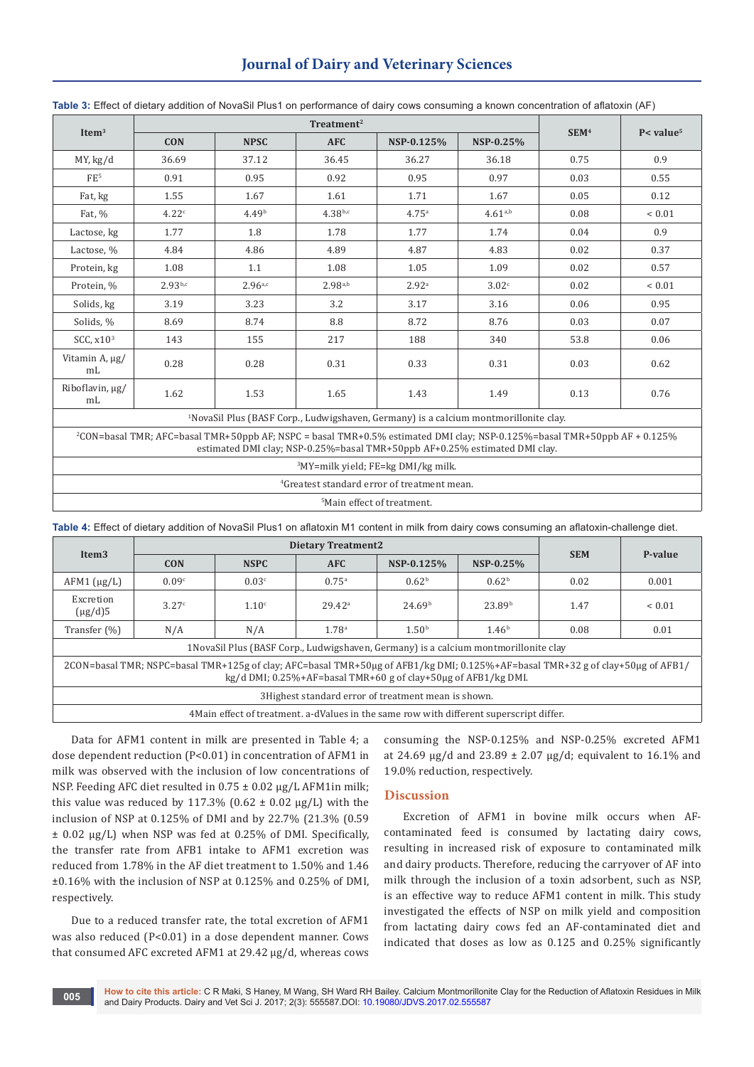## **Journal of Dairy and Veterinary Sciences**

| Item $3$                                                                                                                             |              |                   |              |                   |              |                  |                          |
|--------------------------------------------------------------------------------------------------------------------------------------|--------------|-------------------|--------------|-------------------|--------------|------------------|--------------------------|
|                                                                                                                                      | <b>CON</b>   | <b>NPSC</b>       | <b>AFC</b>   | NSP-0.125%        | NSP-0.25%    | SEM <sup>4</sup> | $P$ < value <sup>5</sup> |
| MY, kg/d                                                                                                                             | 36.69        | 37.12             | 36.45        | 36.27             | 36.18        | 0.75             | 0.9                      |
| FE <sup>5</sup>                                                                                                                      | 0.91         | 0.95              | 0.92         | 0.95              | 0.97         | 0.03             | 0.55                     |
| Fat, kg                                                                                                                              | 1.55         | 1.67              | 1.61         | 1.71              | 1.67         | 0.05             | 0.12                     |
| Fat, %                                                                                                                               | 4.22c        | 4.49 <sup>b</sup> | $4.38^{b,c}$ | 4.75 <sup>a</sup> | $4.61^{a,b}$ | 0.08             | ${}< 0.01$               |
| Lactose, kg                                                                                                                          | 1.77         | 1.8               | 1.78         | 1.77              | 1.74         | 0.04             | 0.9                      |
| Lactose, %                                                                                                                           | 4.84         | 4.86              | 4.89         | 4.87              | 4.83         | 0.02             | 0.37                     |
| Protein, kg                                                                                                                          | 1.08         | 1.1               | 1.08         | 1.05              | 1.09         | 0.02             | 0.57                     |
| Protein, %                                                                                                                           | $2.93^{b,c}$ | 2.96a,c           | $2.98^{a,b}$ | 2.92 <sup>a</sup> | 3.02c        | 0.02             | ${}< 0.01$               |
| Solids, kg                                                                                                                           | 3.19         | 3.23              | 3.2          | 3.17              | 3.16         | 0.06             | 0.95                     |
| Solids, %                                                                                                                            | 8.69         | 8.74              | 8.8          | 8.72              | 8.76         | 0.03             | 0.07                     |
| SCC, $x103$                                                                                                                          | 143          | 155               | 217          | 188               | 340          | 53.8             | 0.06                     |
| Vitamin A, µg/<br>mL                                                                                                                 | 0.28         | 0.28              | 0.31         | 0.33              | 0.31         | 0.03             | 0.62                     |
| Riboflavin, µg/<br>m <sub>L</sub>                                                                                                    | 1.62         | 1.53              | 1.65         | 1.43              | 1.49         | 0.13             | 0.76                     |
| <sup>1</sup> NovaSil Plus (BASF Corp., Ludwigshaven, Germany) is a calcium montmorillonite clay.                                     |              |                   |              |                   |              |                  |                          |
| <sup>2</sup> CON=basal TMR; AFC=basal TMR+50ppb AF; NSPC = basal TMR+0.5% estimated DMI clay; NSP-0.125%=basal TMR+50ppb AF + 0.125% |              |                   |              |                   |              |                  |                          |

**Table 3:** Effect of dietary addition of NovaSil Plus1 on performance of dairy cows consuming a known concentration of aflatoxin (AF)

estimated DMI clay; NSP-0.25%=basal TMR+50ppb AF+0.25% estimated DMI clay.

3 MY=milk yield; FE=kg DMI/kg milk.

4 Greatest standard error of treatment mean.

5 Main effect of treatment.

**Table 4:** Effect of dietary addition of NovaSil Plus1 on aflatoxin M1 content in milk from dairy cows consuming an aflatoxin-challenge diet.

| Item <sub>3</sub>                                                                                                                                                                                               |                   | <b>Dietary Treatment2</b> |                   |                    |                    |            |             |  |
|-----------------------------------------------------------------------------------------------------------------------------------------------------------------------------------------------------------------|-------------------|---------------------------|-------------------|--------------------|--------------------|------------|-------------|--|
|                                                                                                                                                                                                                 | <b>CON</b>        | <b>NSPC</b>               | <b>AFC</b>        | NSP-0.125%         | NSP-0.25%          | <b>SEM</b> | P-value     |  |
| $AFM1$ ( $\mu$ g/L)                                                                                                                                                                                             | 0.09 <sup>c</sup> | 0.03 <sup>c</sup>         | $0.75^{\circ}$    | 0.62 <sup>b</sup>  | 0.62 <sup>b</sup>  | 0.02       | 0.001       |  |
| Excretion<br>$(\mu$ g/d)5                                                                                                                                                                                       | 3.27c             | 1.10 <sup>c</sup>         | $29.42^{\circ}$   | 24.69 <sup>b</sup> | 23.89 <sup>b</sup> | 1.47       | ${}_{0.01}$ |  |
| Transfer $(\% )$                                                                                                                                                                                                | N/A               | N/A                       | 1.78 <sup>a</sup> | 1.50 <sup>b</sup>  | 1.46 <sup>b</sup>  | 0.08       | 0.01        |  |
| 1 NovaSil Plus (BASF Corp., Ludwigshaven, Germany) is a calcium montmorillonite clay                                                                                                                            |                   |                           |                   |                    |                    |            |             |  |
| 2CON=basal TMR; NSPC=basal TMR+125g of clay; AFC=basal TMR+50µg of AFB1/kg DMI; 0.125%+AF=basal TMR+32 g of clay+50µg of AFB1/<br>$kg/d$ DMI; $0.25\% + AF = basal$ TMR+60 g of clay+50 $\mu$ g of AFB1/kg DMI. |                   |                           |                   |                    |                    |            |             |  |
| 3Highest standard error of treatment mean is shown.                                                                                                                                                             |                   |                           |                   |                    |                    |            |             |  |
| 4 Main effect of treatment. a-dValues in the same row with different superscript differ.                                                                                                                        |                   |                           |                   |                    |                    |            |             |  |

Data for AFM1 content in milk are presented in Table 4; a dose dependent reduction (P<0.01) in concentration of AFM1 in milk was observed with the inclusion of low concentrations of NSP. Feeding AFC diet resulted in 0.75 ± 0.02 µg/L AFM1in milk; this value was reduced by 117.3% ( $0.62 \pm 0.02$  µg/L) with the inclusion of NSP at 0.125% of DMI and by 22.7% (21.3% (0.59 ± 0.02 µg/L) when NSP was fed at 0.25% of DMI. Specifically, the transfer rate from AFB1 intake to AFM1 excretion was reduced from 1.78% in the AF diet treatment to 1.50% and 1.46 ±0.16% with the inclusion of NSP at 0.125% and 0.25% of DMI, respectively.

Due to a reduced transfer rate, the total excretion of AFM1 was also reduced (P<0.01) in a dose dependent manner. Cows that consumed AFC excreted AFM1 at 29.42 µg/d, whereas cows consuming the NSP-0.125% and NSP-0.25% excreted AFM1 at 24.69  $\mu$ g/d and 23.89 ± 2.07  $\mu$ g/d; equivalent to 16.1% and 19.0% reduction, respectively.

### **Discussion**

Excretion of AFM1 in bovine milk occurs when AFcontaminated feed is consumed by lactating dairy cows, resulting in increased risk of exposure to contaminated milk and dairy products. Therefore, reducing the carryover of AF into milk through the inclusion of a toxin adsorbent, such as NSP, is an effective way to reduce AFM1 content in milk. This study investigated the effects of NSP on milk yield and composition from lactating dairy cows fed an AF-contaminated diet and indicated that doses as low as 0.125 and 0.25% significantly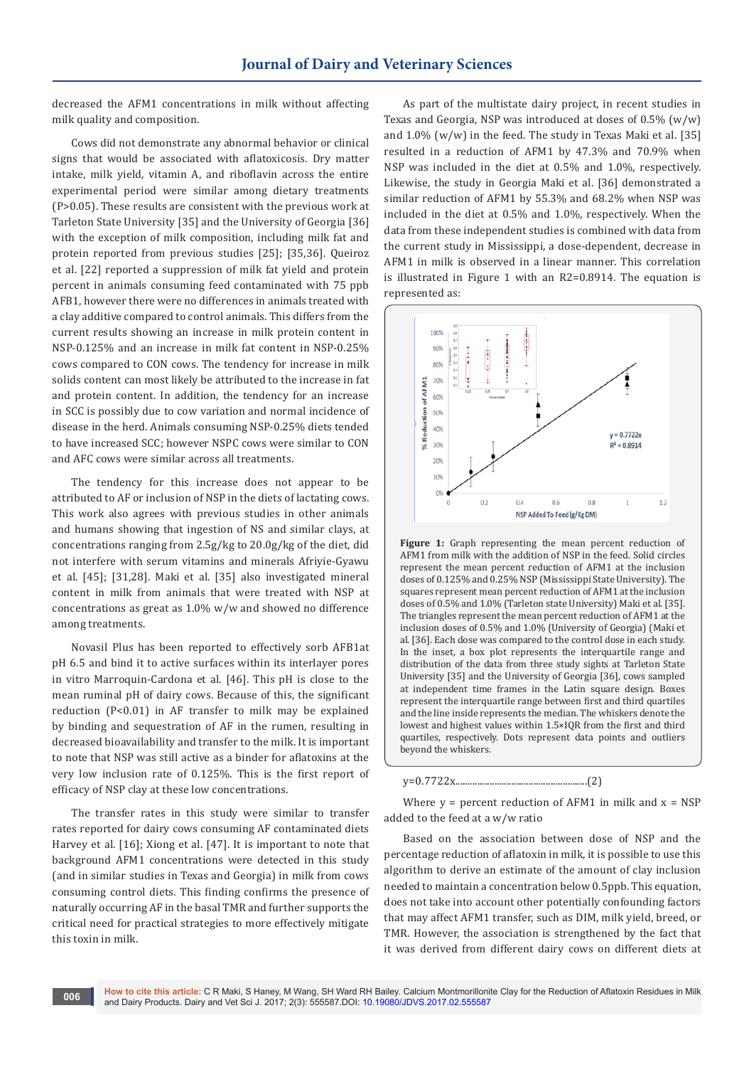decreased the AFM1 concentrations in milk without affecting milk quality and composition.

Cows did not demonstrate any abnormal behavior or clinical signs that would be associated with aflatoxicosis. Dry matter intake, milk yield, vitamin A, and riboflavin across the entire experimental period were similar among dietary treatments (P>0.05). These results are consistent with the previous work at Tarleton State University [35] and the University of Georgia [36] with the exception of milk composition, including milk fat and protein reported from previous studies [25]; [35,36]. Queiroz et al. [22] reported a suppression of milk fat yield and protein percent in animals consuming feed contaminated with 75 ppb AFB1, however there were no differences in animals treated with a clay additive compared to control animals. This differs from the current results showing an increase in milk protein content in NSP-0.125% and an increase in milk fat content in NSP-0.25% cows compared to CON cows. The tendency for increase in milk solids content can most likely be attributed to the increase in fat and protein content. In addition, the tendency for an increase in SCC is possibly due to cow variation and normal incidence of disease in the herd. Animals consuming NSP-0.25% diets tended to have increased SCC; however NSPC cows were similar to CON and AFC cows were similar across all treatments.

The tendency for this increase does not appear to be attributed to AF or inclusion of NSP in the diets of lactating cows. This work also agrees with previous studies in other animals and humans showing that ingestion of NS and similar clays, at concentrations ranging from 2.5g/kg to 20.0g/kg of the diet, did not interfere with serum vitamins and minerals Afriyie-Gyawu et al. [45]; [31,28]. Maki et al. [35] also investigated mineral content in milk from animals that were treated with NSP at concentrations as great as 1.0% w/w and showed no difference among treatments.

Novasil Plus has been reported to effectively sorb AFB1at pH 6.5 and bind it to active surfaces within its interlayer pores in vitro Marroquin-Cardona et al. [46]. This pH is close to the mean ruminal pH of dairy cows. Because of this, the significant reduction (P<0.01) in AF transfer to milk may be explained by binding and sequestration of AF in the rumen, resulting in decreased bioavailability and transfer to the milk. It is important to note that NSP was still active as a binder for aflatoxins at the very low inclusion rate of 0.125%. This is the first report of efficacy of NSP clay at these low concentrations.

The transfer rates in this study were similar to transfer rates reported for dairy cows consuming AF contaminated diets Harvey et al. [16]; Xiong et al. [47]. It is important to note that background AFM1 concentrations were detected in this study (and in similar studies in Texas and Georgia) in milk from cows consuming control diets. This finding confirms the presence of naturally occurring AF in the basal TMR and further supports the critical need for practical strategies to more effectively mitigate this toxin in milk.

As part of the multistate dairy project, in recent studies in Texas and Georgia, NSP was introduced at doses of  $0.5\%$  (w/w) and  $1.0\%$  (w/w) in the feed. The study in Texas Maki et al. [35] resulted in a reduction of AFM1 by 47.3% and 70.9% when NSP was included in the diet at 0.5% and 1.0%, respectively. Likewise, the study in Georgia Maki et al. [36] demonstrated a similar reduction of AFM1 by 55.3% and 68.2% when NSP was included in the diet at 0.5% and 1.0%, respectively. When the data from these independent studies is combined with data from the current study in Mississippi, a dose-dependent, decrease in AFM1 in milk is observed in a linear manner. This correlation is illustrated in Figure 1 with an R2=0.8914. The equation is represented as:



Figure 1: Graph representing the mean percent reduction of AFM1 from milk with the addition of NSP in the feed. Solid circles represent the mean percent reduction of AFM1 at the inclusion doses of 0.125% and 0.25% NSP (Mississippi State University). The squares represent mean percent reduction of AFM1 at the inclusion doses of 0.5% and 1.0% (Tarleton state University) Maki et al. [35]. The triangles represent the mean percent reduction of AFM1 at the inclusion doses of 0.5% and 1.0% (University of Georgia) (Maki et al. [36]. Each dose was compared to the control dose in each study. In the inset, a box plot represents the interquartile range and distribution of the data from three study sights at Tarleton State University [35] and the University of Georgia [36], cows sampled at independent time frames in the Latin square design. Boxes represent the interquartile range between first and third quartiles and the line inside represents the median. The whiskers denote the lowest and highest values within 1.5×IQR from the first and third quartiles, respectively. Dots represent data points and outliers beyond the whiskers.

y=0.7722x......................................................(2)

Where  $y =$  percent reduction of AFM1 in milk and  $x =$  NSP added to the feed at a w/w ratio

Based on the association between dose of NSP and the percentage reduction of aflatoxin in milk, it is possible to use this algorithm to derive an estimate of the amount of clay inclusion needed to maintain a concentration below 0.5ppb. This equation, does not take into account other potentially confounding factors that may affect AFM1 transfer, such as DIM, milk yield, breed, or TMR. However, the association is strengthened by the fact that it was derived from different dairy cows on different diets at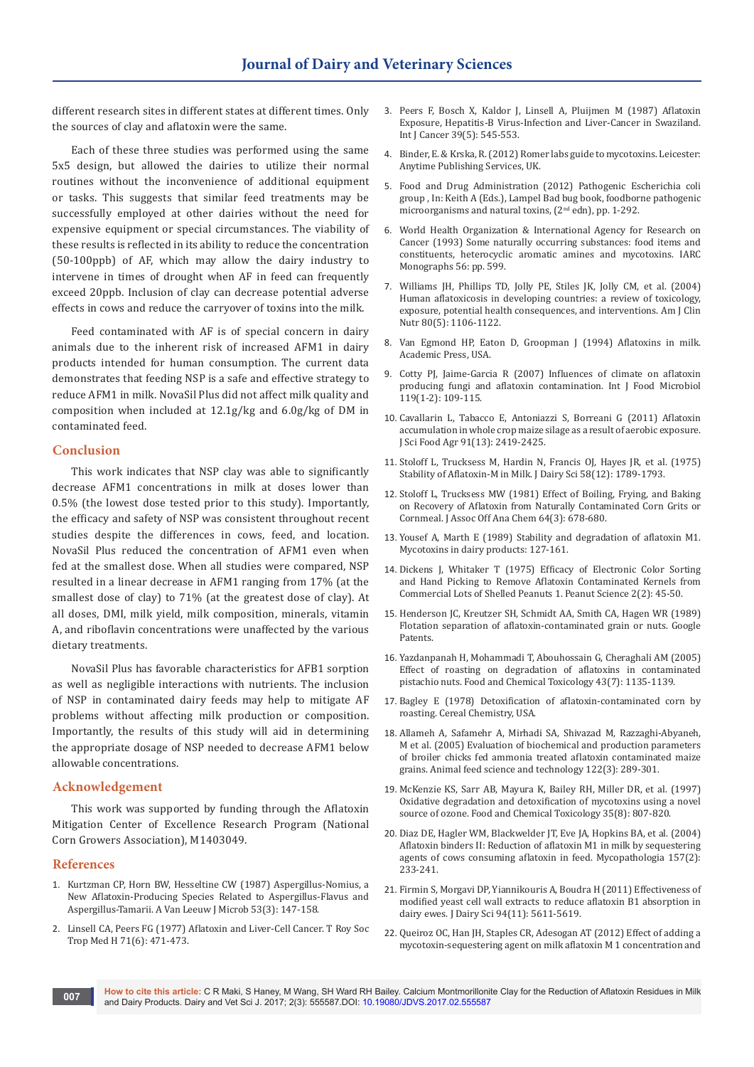different research sites in different states at different times. Only the sources of clay and aflatoxin were the same.

Each of these three studies was performed using the same 5x5 design, but allowed the dairies to utilize their normal routines without the inconvenience of additional equipment or tasks. This suggests that similar feed treatments may be successfully employed at other dairies without the need for expensive equipment or special circumstances. The viability of these results is reflected in its ability to reduce the concentration (50-100ppb) of AF, which may allow the dairy industry to intervene in times of drought when AF in feed can frequently exceed 20ppb. Inclusion of clay can decrease potential adverse effects in cows and reduce the carryover of toxins into the milk.

Feed contaminated with AF is of special concern in dairy animals due to the inherent risk of increased AFM1 in dairy products intended for human consumption. The current data demonstrates that feeding NSP is a safe and effective strategy to reduce AFM1 in milk. NovaSil Plus did not affect milk quality and composition when included at 12.1g/kg and 6.0g/kg of DM in contaminated feed.

#### **Conclusion**

This work indicates that NSP clay was able to significantly decrease AFM1 concentrations in milk at doses lower than 0.5% (the lowest dose tested prior to this study). Importantly, the efficacy and safety of NSP was consistent throughout recent studies despite the differences in cows, feed, and location. NovaSil Plus reduced the concentration of AFM1 even when fed at the smallest dose. When all studies were compared, NSP resulted in a linear decrease in AFM1 ranging from 17% (at the smallest dose of clay) to 71% (at the greatest dose of clay). At all doses, DMI, milk yield, milk composition, minerals, vitamin A, and riboflavin concentrations were unaffected by the various dietary treatments.

NovaSil Plus has favorable characteristics for AFB1 sorption as well as negligible interactions with nutrients. The inclusion of NSP in contaminated dairy feeds may help to mitigate AF problems without affecting milk production or composition. Importantly, the results of this study will aid in determining the appropriate dosage of NSP needed to decrease AFM1 below allowable concentrations.

#### **Acknowledgement**

This work was supported by funding through the Aflatoxin Mitigation Center of Excellence Research Program (National Corn Growers Association), M1403049.

#### **References**

- 1. [Kurtzman CP, Horn BW, Hesseltine CW \(1987\) Aspergillus-Nomius, a](https://www.ncbi.nlm.nih.gov/pubmed/3116923)  [New Aflatoxin-Producing Species Related to Aspergillus-Flavus and](https://www.ncbi.nlm.nih.gov/pubmed/3116923)  [Aspergillus-Tamarii. A Van Leeuw J Microb 53\(3\): 147-158.](https://www.ncbi.nlm.nih.gov/pubmed/3116923)
- 2. Linsell CA, Peers FG (1977) Aflatoxin and Liver-Cell Cancer. T Roy Soc Trop Med H 71(6): 471-473.
- 3. [Peers F, Bosch X, Kaldor J, Linsell A, Pluijmen M \(1987\) Aflatoxin](https://www.ncbi.nlm.nih.gov/pubmed/3570547)  [Exposure, Hepatitis-B Virus-Infection and Liver-Cancer in Swaziland.](https://www.ncbi.nlm.nih.gov/pubmed/3570547)  [Int J Cancer 39\(5\): 545-553.](https://www.ncbi.nlm.nih.gov/pubmed/3570547)
- 4. Binder, E. & Krska, R. (2012) Romer labs guide to mycotoxins. Leicester: Anytime Publishing Services, UK.
- 5. [Food and Drug Administration \(2012\) Pathogenic Escherichia coli](https://www.fda.gov/downloads/Food/FoodborneIllnessContaminants/UCM297627.pdf)  [group , In: Keith A \(Eds.\), Lampel Bad bug book, foodborne pathogenic](https://www.fda.gov/downloads/Food/FoodborneIllnessContaminants/UCM297627.pdf)  [microorganisms and natural toxins, \(2](https://www.fda.gov/downloads/Food/FoodborneIllnessContaminants/UCM297627.pdf)<sup>nd</sup> edn), pp. 1-292.
- 6. [World Health Organization & International Agency for Research on](http://monographs.iarc.fr/ENG/Monographs/vol56/mono56.pdf)  [Cancer \(1993\) Some naturally occurring substances: food items and](http://monographs.iarc.fr/ENG/Monographs/vol56/mono56.pdf)  [constituents, heterocyclic aromatic amines and mycotoxins. IARC](http://monographs.iarc.fr/ENG/Monographs/vol56/mono56.pdf)  [Monographs 56: pp. 599.](http://monographs.iarc.fr/ENG/Monographs/vol56/mono56.pdf)
- 7. [Williams JH, Phillips TD, Jolly PE, Stiles JK, Jolly CM, et al. \(2004\)](https://www.ncbi.nlm.nih.gov/pubmed/15531656)  [Human aflatoxicosis in developing countries: a review of toxicology,](https://www.ncbi.nlm.nih.gov/pubmed/15531656)  [exposure, potential health consequences, and interventions. Am J Clin](https://www.ncbi.nlm.nih.gov/pubmed/15531656)  [Nutr 80\(5\): 1106-1122.](https://www.ncbi.nlm.nih.gov/pubmed/15531656)
- 8. Van Egmond HP, Eaton D, Groopman J (1994) Aflatoxins in milk. Academic Press, USA.
- 9. [Cotty PJ, Jaime-Garcia R \(2007\) Influences of climate on aflatoxin](https://www.ncbi.nlm.nih.gov/pubmed/17881074)  [producing fungi and aflatoxin contamination. Int J Food Microbiol](https://www.ncbi.nlm.nih.gov/pubmed/17881074)  [119\(1-2\): 109-115.](https://www.ncbi.nlm.nih.gov/pubmed/17881074)
- 10. [Cavallarin L, Tabacco E, Antoniazzi S, Borreani G \(2011\) Aflatoxin](https://www.ncbi.nlm.nih.gov/pubmed/21710665)  [accumulation in whole crop maize silage as a result of aerobic exposure.](https://www.ncbi.nlm.nih.gov/pubmed/21710665)  [J Sci Food Agr 91\(13\): 2419-2425.](https://www.ncbi.nlm.nih.gov/pubmed/21710665)
- 11. [Stoloff L, Trucksess M, Hardin N, Francis OJ, Hayes JR, et al. \(1975\)](https://www.ncbi.nlm.nih.gov/pubmed/1239463)  [Stability of Aflatoxin-M in Milk. J Dairy Sci 58\(12\): 1789-1793.](https://www.ncbi.nlm.nih.gov/pubmed/1239463)
- 12. [Stoloff L, Trucksess MW \(1981\) Effect of Boiling, Frying, and Baking](https://www.ncbi.nlm.nih.gov/pubmed/6787007)  [on Recovery of Aflatoxin from Naturally Contaminated Corn Grits or](https://www.ncbi.nlm.nih.gov/pubmed/6787007)  [Cornmeal. J Assoc Off Ana Chem 64\(3\): 678-680.](https://www.ncbi.nlm.nih.gov/pubmed/6787007)
- 13. Yousef A, Marth E (1989) Stability and degradation of aflatoxin M1. Mycotoxins in dairy products: 127-161.
- 14. [Dickens J, Whitaker T \(1975\) Efficacy of Electronic Color Sorting](http://www.peanutscience.com/doi/abs/10.3146/i0095-3679-2-2-4)  [and Hand Picking to Remove Aflatoxin Contaminated Kernels from](http://www.peanutscience.com/doi/abs/10.3146/i0095-3679-2-2-4)  [Commercial Lots of Shelled Peanuts 1. Peanut Science 2\(2\): 45-50.](http://www.peanutscience.com/doi/abs/10.3146/i0095-3679-2-2-4)
- 15. Henderson JC, Kreutzer SH, Schmidt AA, Smith CA, Hagen WR (1989) Flotation separation of aflatoxin-contaminated grain or nuts. Google Patents.
- 16. [Yazdanpanah H, Mohammadi T, Abouhossain G, Cheraghali AM \(2005\)](https://www.ncbi.nlm.nih.gov/pubmed/15833389)  [Effect of roasting on degradation of aflatoxins in contaminated](https://www.ncbi.nlm.nih.gov/pubmed/15833389)  [pistachio nuts. Food and Chemical Toxicology 43\(7\): 1135-1139.](https://www.ncbi.nlm.nih.gov/pubmed/15833389)
- 17. [Bagley E \(1978\) Detoxification of aflatoxin-contaminated corn by](http://agris.fao.org/agris-search/search.do?recordID=US7872612)  [roasting. Cereal Chemistry, USA.](http://agris.fao.org/agris-search/search.do?recordID=US7872612)
- 18. [Allameh A, Safamehr A, Mirhadi SA, Shivazad M, Razzaghi-Abyaneh,](http://www.animalfeedscience.com/article/S0377-8401(05)00112-4/abstract)  [M et al. \(2005\) Evaluation of biochemical and production parameters](http://www.animalfeedscience.com/article/S0377-8401(05)00112-4/abstract)  [of broiler chicks fed ammonia treated aflatoxin contaminated maize](http://www.animalfeedscience.com/article/S0377-8401(05)00112-4/abstract)  [grains. Animal feed science and technology 122\(3\): 289-301.](http://www.animalfeedscience.com/article/S0377-8401(05)00112-4/abstract)
- 19. [McKenzie KS, Sarr AB, Mayura K, Bailey RH, Miller DR, et al. \(1997\)](https://www.ncbi.nlm.nih.gov/pubmed/9350226)  [Oxidative degradation and detoxification of mycotoxins using a novel](https://www.ncbi.nlm.nih.gov/pubmed/9350226)  [source of ozone. Food and Chemical Toxicology 35\(8\): 807-820.](https://www.ncbi.nlm.nih.gov/pubmed/9350226)
- 20. [Diaz DE, Hagler WM, Blackwelder JT, Eve JA, Hopkins BA, et al. \(2004\)](https://www.ncbi.nlm.nih.gov/pubmed/15119861)  [Aflatoxin binders II: Reduction of aflatoxin M1 in milk by sequestering](https://www.ncbi.nlm.nih.gov/pubmed/15119861)  [agents of cows consuming aflatoxin in feed. Mycopathologia 157\(2\):](https://www.ncbi.nlm.nih.gov/pubmed/15119861)  [233-241.](https://www.ncbi.nlm.nih.gov/pubmed/15119861)
- 21. [Firmin S, Morgavi DP, Yiannikouris A, Boudra H \(2011\) Effectiveness of](https://www.ncbi.nlm.nih.gov/pubmed/22032384)  [modified yeast cell wall extracts to reduce aflatoxin B1 absorption in](https://www.ncbi.nlm.nih.gov/pubmed/22032384)  [dairy ewes. J Dairy Sci 94\(11\): 5611-5619.](https://www.ncbi.nlm.nih.gov/pubmed/22032384)
- 22. [Queiroz OC, Han JH, Staples CR, Adesogan AT \(2012\) Effect of adding a](https://www.ncbi.nlm.nih.gov/pubmed/22901480)  [mycotoxin-sequestering agent on milk aflatoxin M 1 concentration and](https://www.ncbi.nlm.nih.gov/pubmed/22901480)